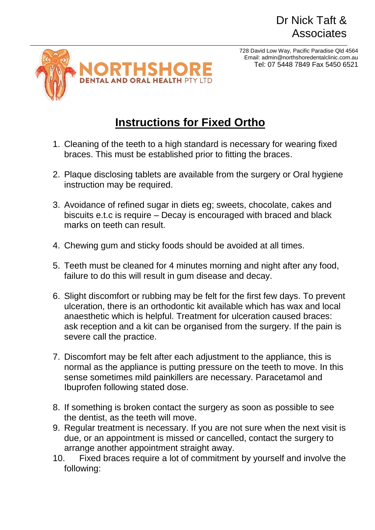## Dr Nick Taft & **Associates**

728 David Low Way, Pacific Paradise Qld 4564 Email: admin@northshoredentalclinic.com.au Tel: 07 5448 7849 Fax 5450 6521



## **Instructions for Fixed Ortho**

- 1. Cleaning of the teeth to a high standard is necessary for wearing fixed braces. This must be established prior to fitting the braces.
- 2. Plaque disclosing tablets are available from the surgery or Oral hygiene instruction may be required.
- 3. Avoidance of refined sugar in diets eg; sweets, chocolate, cakes and biscuits e.t.c is require – Decay is encouraged with braced and black marks on teeth can result.
- 4. Chewing gum and sticky foods should be avoided at all times.
- 5. Teeth must be cleaned for 4 minutes morning and night after any food, failure to do this will result in gum disease and decay.
- 6. Slight discomfort or rubbing may be felt for the first few days. To prevent ulceration, there is an orthodontic kit available which has wax and local anaesthetic which is helpful. Treatment for ulceration caused braces: ask reception and a kit can be organised from the surgery. If the pain is severe call the practice.
- 7. Discomfort may be felt after each adjustment to the appliance, this is normal as the appliance is putting pressure on the teeth to move. In this sense sometimes mild painkillers are necessary. Paracetamol and Ibuprofen following stated dose.
- 8. If something is broken contact the surgery as soon as possible to see the dentist, as the teeth will move.
- 9. Regular treatment is necessary. If you are not sure when the next visit is due, or an appointment is missed or cancelled, contact the surgery to arrange another appointment straight away.
- 10. Fixed braces require a lot of commitment by yourself and involve the following: